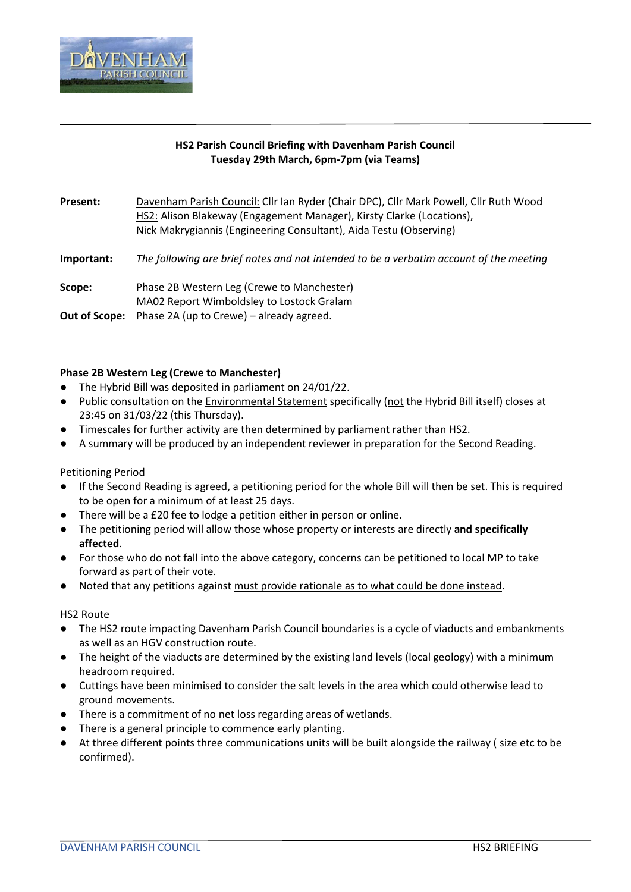

## **HS2 Parish Council Briefing with Davenham Parish Council Tuesday 29th March, 6pm-7pm (via Teams)**

Present: Davenham Parish Council: Cllr Ian Ryder (Chair DPC), Cllr Mark Powell, Cllr Ruth Wood HS2: Alison Blakeway (Engagement Manager), Kirsty Clarke (Locations), Nick Makrygiannis (Engineering Consultant), Aida Testu (Observing)

**Important:** *The following are brief notes and not intended to be a verbatim account of the meeting*

**Scope:** Phase 2B Western Leg (Crewe to Manchester) MA02 Report Wimboldsley to Lostock Gralam

**Out of Scope:** Phase 2A (up to Crewe) – already agreed.

## **Phase 2B Western Leg (Crewe to Manchester)**

- The Hybrid Bill was deposited in parliament on 24/01/22.
- Public consultation on the Environmental Statement specifically (not the Hybrid Bill itself) closes at 23:45 on 31/03/22 (this Thursday).
- Timescales for further activity are then determined by parliament rather than HS2.
- A summary will be produced by an independent reviewer in preparation for the Second Reading.

### Petitioning Period

- If the Second Reading is agreed, a petitioning period for the whole Bill will then be set. This is required to be open for a minimum of at least 25 days.
- There will be a £20 fee to lodge a petition either in person or online.
- The petitioning period will allow those whose property or interests are directly **and specifically affected**.
- For those who do not fall into the above category, concerns can be petitioned to local MP to take forward as part of their vote.
- Noted that any petitions against must provide rationale as to what could be done instead.

### HS2 Route

- The HS2 route impacting Davenham Parish Council boundaries is a cycle of viaducts and embankments as well as an HGV construction route.
- The height of the viaducts are determined by the existing land levels (local geology) with a minimum headroom required.
- Cuttings have been minimised to consider the salt levels in the area which could otherwise lead to ground movements.
- There is a commitment of no net loss regarding areas of wetlands.
- There is a general principle to commence early planting.
- At three different points three communications units will be built alongside the railway ( size etc to be confirmed).